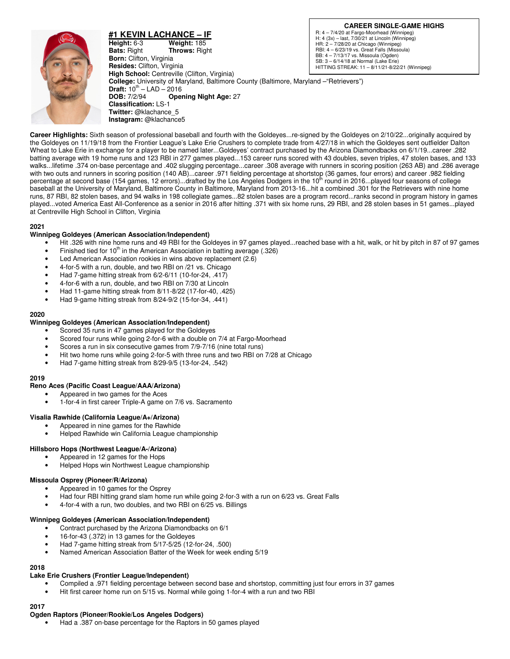

**#1 KEVIN LACHANCE – IF Height:** 6-3 **Weight:** 185 **Bats:** Right **Throws:** Right **Born:** Clifton, Virginia **Resides:** Clifton, Virginia **High School:** Centreville (Clifton, Virginia) **College:** University of Maryland, Baltimore County (Baltimore, Maryland –"Retrievers") **Draft:** 10<sup>th</sup> – LAD – 2016<br>**DOB:** 7/2/94 **Ope Opening Night Age: 27 Classification:** LS-1 **Twitter:** @klachance\_5 **Instagram:** @klachance5

**Career Highlights:** Sixth season of professional baseball and fourth with the Goldeyes...re-signed by the Goldeyes on 2/10/22...originally acquired by the Goldeyes on 11/19/18 from the Frontier League's Lake Erie Crushers to complete trade from 4/27/18 in which the Goldeyes sent outfielder Dalton Wheat to Lake Erie in exchange for a player to be named later...Goldeyes' contract purchased by the Arizona Diamondbacks on 6/1/19...career .282 batting average with 19 home runs and 123 RBI in 277 games played...153 career runs scored with 43 doubles, seven triples, 47 stolen bases, and 133 walks...lifetime .374 on-base percentage and .402 slugging percentage...career .308 average with runners in scoring position (263 AB) and .286 average with two outs and runners in scoring position (140 AB)...career .971 fielding percentage at shortstop (36 games, four errors) and career .982 fielding percentage at second base (154 games, 12 errors)...drafted by the Los Angeles Dodgers in the 10<sup>th</sup> round in 2016...played four seasons of college baseball at the University of Maryland, Baltimore County in Baltimore, Maryland from 2013-16...hit a combined .301 for the Retrievers with nine home runs, 87 RBI, 82 stolen bases, and 94 walks in 198 collegiate games...82 stolen bases are a program record...ranks second in program history in games played...voted America East All-Conference as a senior in 2016 after hitting .371 with six home runs, 29 RBI, and 28 stolen bases in 51 games...played at Centreville High School in Clifton, Virginia

#### **2021**

## **Winnipeg Goldeyes (American Association/Independent)**

- Hit .326 with nine home runs and 49 RBI for the Goldeyes in 97 games played...reached base with a hit, walk, or hit by pitch in 87 of 97 games
- Finished tied for  $10<sup>th</sup>$  in the American Association in batting average (.326)
- Led American Association rookies in wins above replacement (2.6)
- 4-for-5 with a run, double, and two RBI on /21 vs. Chicago
- Had 7-game hitting streak from 6/2-6/11 (10-for-24, .417)
- 4-for-6 with a run, double, and two RBI on 7/30 at Lincoln
- Had 11-game hitting streak from 8/11-8/22 (17-for-40, .425)
- Had 9-game hitting streak from 8/24-9/2 (15-for-34, .441)

#### **2020**

#### **Winnipeg Goldeyes (American Association/Independent)**

- Scored 35 runs in 47 games played for the Goldeyes
- Scored four runs while going 2-for-6 with a double on 7/4 at Fargo-Moorhead
- Scores a run in six consecutive games from 7/9-7/16 (nine total runs)
- Hit two home runs while going 2-for-5 with three runs and two RBI on 7/28 at Chicago
- Had 7-game hitting streak from 8/29-9/5 (13-for-24, .542)

#### **2019**

- **Reno Aces (Pacific Coast League/AAA/Arizona)** 
	- Appeared in two games for the Aces
		- 1-for-4 in first career Triple-A game on 7/6 vs. Sacramento

#### **Visalia Rawhide (California League/A+/Arizona)**

- Appeared in nine games for the Rawhide
- Helped Rawhide win California League championship

#### **Hillsboro Hops (Northwest League/A-/Arizona)**

- Appeared in 12 games for the Hops
- Helped Hops win Northwest League championship

#### **Missoula Osprey (Pioneer/R/Arizona)**

- Appeared in 10 games for the Osprey
- Had four RBI hitting grand slam home run while going 2-for-3 with a run on 6/23 vs. Great Falls
- 4-for-4 with a run, two doubles, and two RBI on 6/25 vs. Billings

#### **Winnipeg Goldeyes (American Association/Independent)**

- Contract purchased by the Arizona Diamondbacks on 6/1
- 16-for-43 (.372) in 13 games for the Goldeyes
- Had 7-game hitting streak from 5/17-5/25 (12-for-24, .500)
- Named American Association Batter of the Week for week ending 5/19

# **2018**

# **Lake Erie Crushers (Frontier League/Independent)**

- Compiled a .971 fielding percentage between second base and shortstop, committing just four errors in 37 games
- Hit first career home run on 5/15 vs. Normal while going 1-for-4 with a run and two RBI

## **2017**

#### **Ogden Raptors (Pioneer/Rookie/Los Angeles Dodgers)**

• Had a .387 on-base percentage for the Raptors in 50 games played

### **CAREER SINGLE-GAME HIGHS**

R: 4 – 7/4/20 at Fargo-Moorhead (Winnipeg) H: 4 (3x) – last, 7/30/21 at Lincoln (Winnipeg) HR: 2 – 7/28/20 at Chicago (Winnipeg) RBI: 4 – 6/23/19 vs. Great Falls (Missoula) BB: 4 – 7/13/17 vs. Missoula (Ogden) SB: 3 – 6/14/18 at Normal (Lake Erie) HITTING STREAK: 11 – 8/11/21-8/22/21 (Winnipeg)